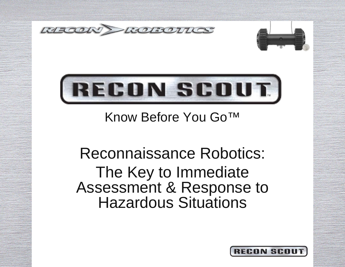





Know Before You Go™

Reconnaissance Robotics: The Key to Immediate Assessment & Response to Hazardous Situations

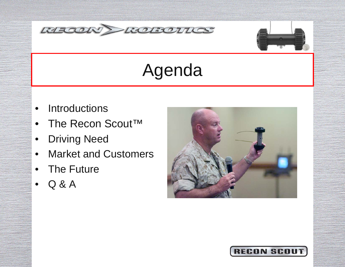



# Agenda

- $\bullet$ **Introductions**
- $\bullet$ The Recon Scout™
- $\bullet$ Driving Need
- •Market and Customers
- •The Future
- •Q & A



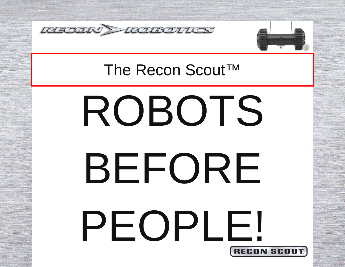



# **RECON SCI** ROBOTS BEFORE PEOPLE!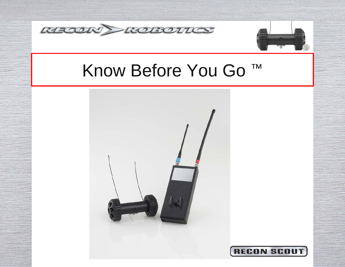



# Know Before You Go ™

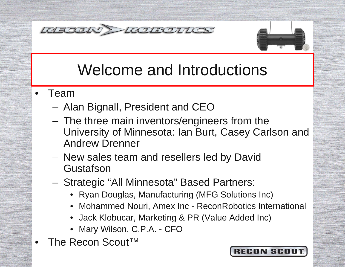



# Welcome and Introductions

- • Team
	- $\mathcal{L}_{\mathcal{A}}$ Alan Bignall, President and CEO
	- – The three main inventors/engineers from the University of Minnesota: Ian Burt, Casey Carlson and Andrew Drenner
	- New sales team and resellers led by David **Gustafson**
	- $\mathcal{L}_{\mathcal{A}}$  Strategic "All Minnesota" Based Partners:
		- Ryan Douglas, Manufacturing (MFG Solutions Inc)
		- Mohammed Nouri, Amex Inc ReconRobotics International
		- Jack Klobucar, Marketing & PR (Value Added Inc)
		- Mary Wilson, C.P.A. CFO
- •The Recon Scout™

#### **RECON SCI**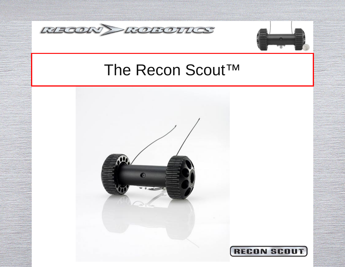



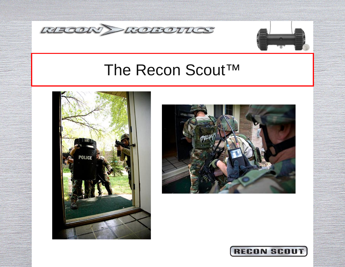







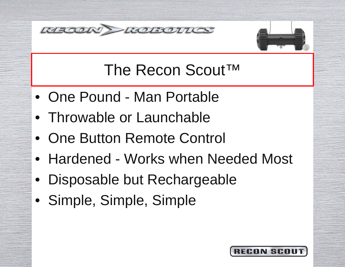



- One Pound Man Portable
- Throwable or Launchable
- One Button Remote Control
- Hardened Works when Needed Most
- Disposable but Rechargeable
- Simple, Simple, Simple

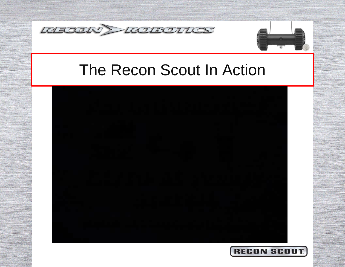



## The Recon Scout In Action



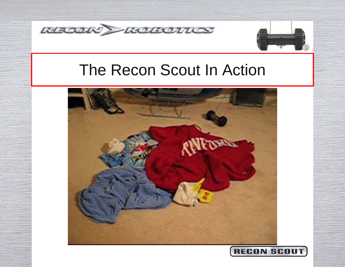



### The Recon Scout In Action



#### **RECON SCI**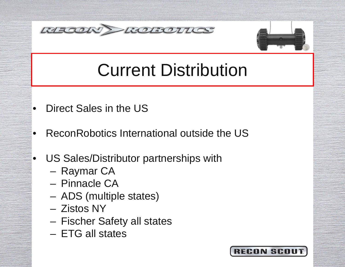



# Current Distribution

- •Direct Sales in the US
- •ReconRobotics International outside the US
- • US Sales/Distributor partnerships with
	- **Line Community** Raymar CA
	- Pinnacle CA
	- –ADS (multiple states)
	- Zistos NY
	- **Links and Committee** Fischer Safety all states
	- ETG all states

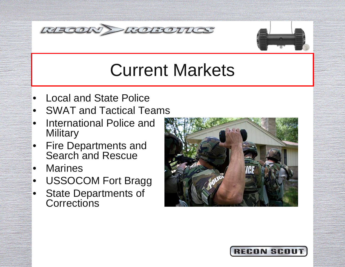



# Current Markets

- •Local and State Police
- SWAT and Tactical Teams
- $\bullet$  International Police and **Military**
- $\bullet$  Fire Departments and Search and Rescue
- •**Marines**
- USSOCOM Fort Bragg
- $\bullet$  State Departments of **Corrections**



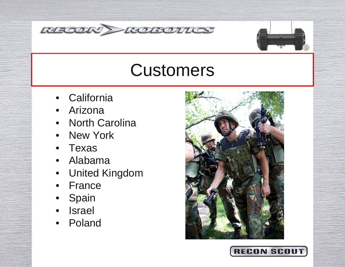



# **Customers**

- •**California**
- •Arizona
- North Carolina
- •New York
- •Texas
- $\bullet$ Alabama
- United Kingdom
- $\bullet$ **France**
- •**Spain**
- •Israel
- $\bullet$ Poland



#### **RECON SCI**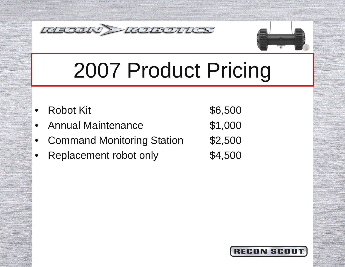



# 2007 Product Pricing

| • Robot Kit                  | \$6,500 |
|------------------------------|---------|
| • Annual Maintenance         | \$1,000 |
| • Command Monitoring Station | \$2,500 |
| • Replacement robot only     | \$4,500 |

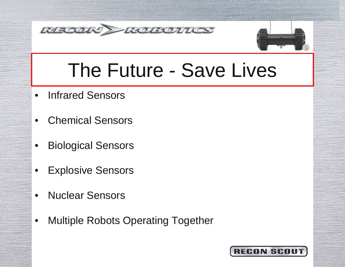



# The Future - Save Lives

- $\bullet$ Infrared Sensors
- •Chemical Sensors
- $\bullet$ Biological Sensors
- •Explosive Sensors
- •Nuclear Sensors
- •Multiple Robots Operating Together

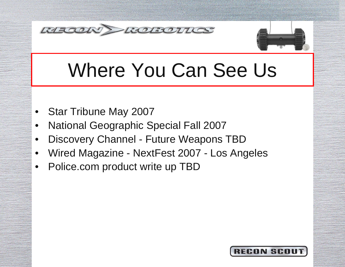



# Where You Can See Us

- •Star Tribune May 2007
- •National Geographic Special Fall 2007
- •Discovery Channel - Future Weapons TBD
- •Wired Magazine - NextFest 2007 - Los Angeles
- •Police.com product write up TBD